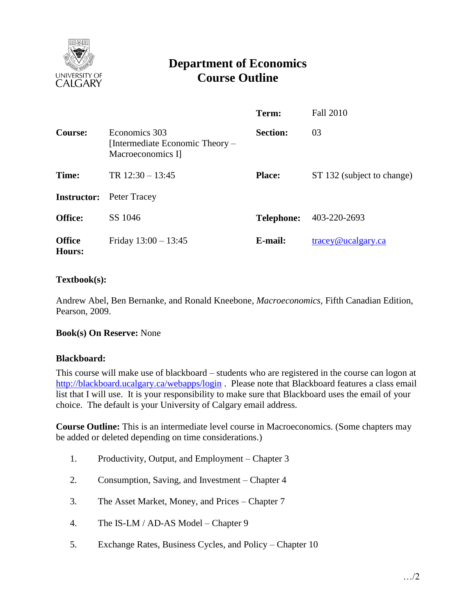

# **Department of Economics Course Outline**

|                         |                                                                       | Term:             | <b>Fall 2010</b>           |
|-------------------------|-----------------------------------------------------------------------|-------------------|----------------------------|
| Course:                 | Economics 303<br>[Intermediate Economic Theory –<br>Macroeconomics I] | <b>Section:</b>   | 03                         |
| Time:                   | TR $12:30 - 13:45$                                                    | <b>Place:</b>     | ST 132 (subject to change) |
| <b>Instructor:</b>      | Peter Tracey                                                          |                   |                            |
| <b>Office:</b>          | SS 1046                                                               | <b>Telephone:</b> | 403-220-2693               |
| <b>Office</b><br>Hours: | Friday $13:00 - 13:45$                                                | E-mail:           | tracey@ucalgary.ca         |

## **Textbook(s):**

Andrew Abel, Ben Bernanke, and Ronald Kneebone, *Macroeconomics,* Fifth Canadian Edition, Pearson, 2009.

#### **Book(s) On Reserve:** None

#### **Blackboard:**

This course will make use of blackboard – students who are registered in the course can logon at <http://blackboard.ucalgary.ca/webapps/login>. Please note that Blackboard features a class email list that I will use. It is your responsibility to make sure that Blackboard uses the email of your choice. The default is your University of Calgary email address.

**Course Outline:** This is an intermediate level course in Macroeconomics. (Some chapters may be added or deleted depending on time considerations.)

- 1. Productivity, Output, and Employment Chapter 3
- 2. Consumption, Saving, and Investment Chapter 4
- 3. The Asset Market, Money, and Prices Chapter 7
- 4. The IS-LM / AD-AS Model Chapter 9
- 5. Exchange Rates, Business Cycles, and Policy Chapter 10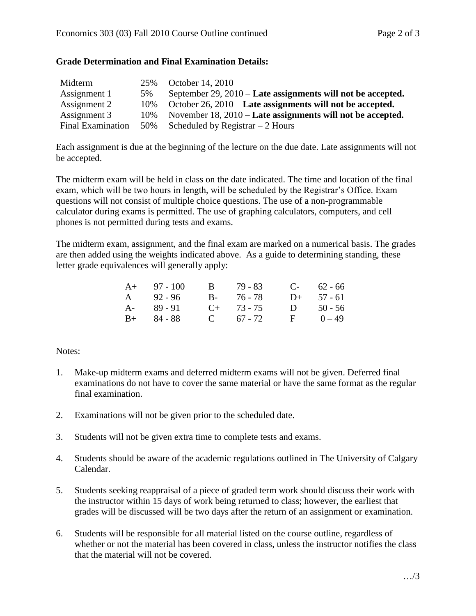## **Grade Determination and Final Examination Details:**

| Midterm                  | 25%  | October 14, 2010                                               |
|--------------------------|------|----------------------------------------------------------------|
| Assignment 1             | 5%   | September $29, 2010$ – Late assignments will not be accepted.  |
| Assignment 2             | 10%  | October $26$ , $2010$ – Late assignments will not be accepted. |
| Assignment 3             | 10\% | November $18, 2010$ – Late assignments will not be accepted.   |
| <b>Final Examination</b> |      | 50% Scheduled by Registrar $-2$ Hours                          |

Each assignment is due at the beginning of the lecture on the due date. Late assignments will not be accepted.

The midterm exam will be held in class on the date indicated. The time and location of the final exam, which will be two hours in length, will be scheduled by the Registrar's Office. Exam questions will not consist of multiple choice questions. The use of a non-programmable calculator during exams is permitted. The use of graphing calculators, computers, and cell phones is not permitted during tests and exams.

The midterm exam, assignment, and the final exam are marked on a numerical basis. The grades are then added using the weights indicated above. As a guide to determining standing, these letter grade equivalences will generally apply:

| $A+ 97 - 100$ |  |                                                         | $C-$ 62 - 66 |
|---------------|--|---------------------------------------------------------|--------------|
| $A = 92 - 96$ |  |                                                         | $D+ 57 - 61$ |
| $A - 89 - 91$ |  | $\mathbf{D}$                                            | 50 - 56      |
| $B+ 84 - 88$  |  | $\mathbf{F}$                                            | $0 - 49$     |
|               |  | B 79 - 83<br>B- 76-78<br>$C_{+}$ 73 - 75<br>C $67 - 72$ |              |

#### Notes:

- 1. Make-up midterm exams and deferred midterm exams will not be given. Deferred final examinations do not have to cover the same material or have the same format as the regular final examination.
- 2. Examinations will not be given prior to the scheduled date.
- 3. Students will not be given extra time to complete tests and exams.
- 4. Students should be aware of the academic regulations outlined in The University of Calgary Calendar.
- 5. Students seeking reappraisal of a piece of graded term work should discuss their work with the instructor within 15 days of work being returned to class; however, the earliest that grades will be discussed will be two days after the return of an assignment or examination.
- 6. Students will be responsible for all material listed on the course outline, regardless of whether or not the material has been covered in class, unless the instructor notifies the class that the material will not be covered.